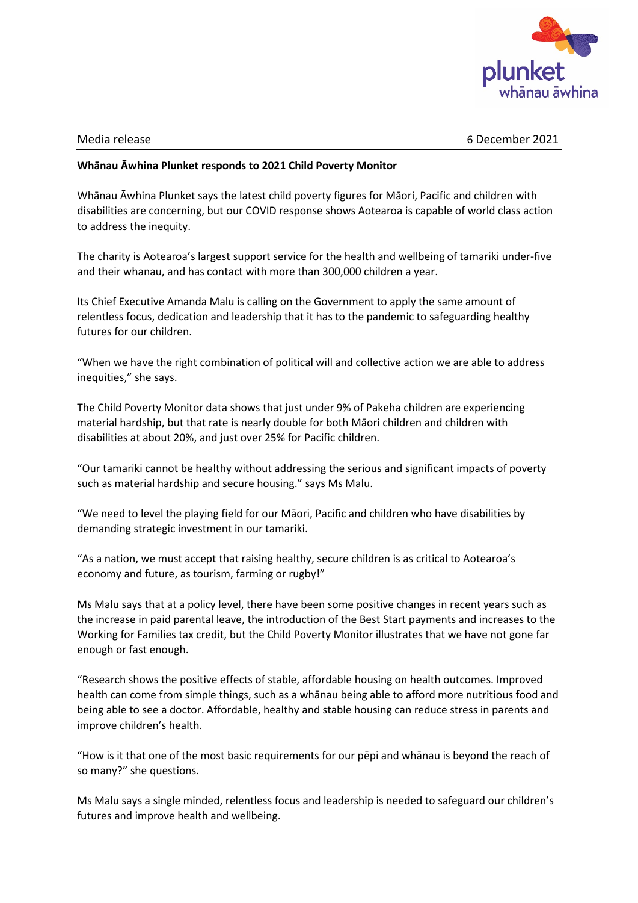

Media release 6 December 2021

## **Whānau Āwhina Plunket responds to 2021 Child Poverty Monitor**

Whānau Āwhina Plunket says the latest child poverty figures for Māori, Pacific and children with disabilities are concerning, but our COVID response shows Aotearoa is capable of world class action to address the inequity.

The charity is Aotearoa's largest support service for the health and wellbeing of tamariki under-five and their whanau, and has contact with more than 300,000 children a year.

Its Chief Executive Amanda Malu is calling on the Government to apply the same amount of relentless focus, dedication and leadership that it has to the pandemic to safeguarding healthy futures for our children.

"When we have the right combination of political will and collective action we are able to address inequities," she says.

The Child Poverty Monitor data shows that just under 9% of Pakeha children are experiencing material hardship, but that rate is nearly double for both Māori children and children with disabilities at about 20%, and just over 25% for Pacific children.

"Our tamariki cannot be healthy without addressing the serious and significant impacts of poverty such as material hardship and secure housing." says Ms Malu.

"We need to level the playing field for our Māori, Pacific and children who have disabilities by demanding strategic investment in our tamariki.

"As a nation, we must accept that raising healthy, secure children is as critical to Aotearoa's economy and future, as tourism, farming or rugby!"

Ms Malu says that at a policy level, there have been some positive changes in recent years such as the increase in paid parental leave, the introduction of the Best Start payments and increases to the Working for Families tax credit, but the Child Poverty Monitor illustrates that we have not gone far enough or fast enough.

"Research shows the positive effects of stable, affordable housing on health outcomes. Improved health can come from simple things, such as a whānau being able to afford more nutritious food and being able to see a doctor. Affordable, healthy and stable housing can reduce stress in parents and improve children's health.

"How is it that one of the most basic requirements for our pēpi and whānau is beyond the reach of so many?" she questions.

Ms Malu says a single minded, relentless focus and leadership is needed to safeguard our children's futures and improve health and wellbeing.